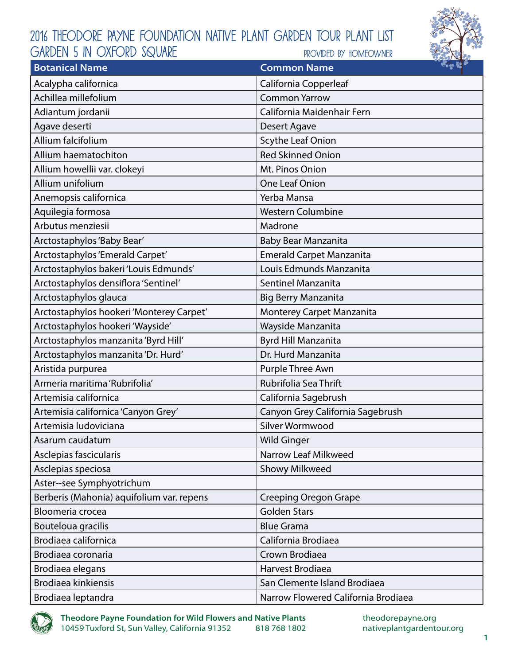

| <b>Botanical Name</b>                     | <b>Common Name</b>                  |
|-------------------------------------------|-------------------------------------|
| Acalypha californica                      | California Copperleaf               |
| Achillea millefolium                      | <b>Common Yarrow</b>                |
| Adiantum jordanii                         | California Maidenhair Fern          |
| Agave deserti                             | Desert Agave                        |
| Allium falcifolium                        | Scythe Leaf Onion                   |
| Allium haematochiton                      | <b>Red Skinned Onion</b>            |
| Allium howellii var. clokeyi              | Mt. Pinos Onion                     |
| Allium unifolium                          | <b>One Leaf Onion</b>               |
| Anemopsis californica                     | Yerba Mansa                         |
| Aquilegia formosa                         | <b>Western Columbine</b>            |
| Arbutus menziesii                         | Madrone                             |
| Arctostaphylos 'Baby Bear'                | Baby Bear Manzanita                 |
| Arctostaphylos 'Emerald Carpet'           | <b>Emerald Carpet Manzanita</b>     |
| Arctostaphylos bakeri 'Louis Edmunds'     | Louis Edmunds Manzanita             |
| Arctostaphylos densiflora 'Sentinel'      | <b>Sentinel Manzanita</b>           |
| Arctostaphylos glauca                     | <b>Big Berry Manzanita</b>          |
| Arctostaphylos hookeri 'Monterey Carpet'  | <b>Monterey Carpet Manzanita</b>    |
| Arctostaphylos hookeri 'Wayside'          | Wayside Manzanita                   |
| Arctostaphylos manzanita 'Byrd Hill'      | Byrd Hill Manzanita                 |
| Arctostaphylos manzanita 'Dr. Hurd'       | Dr. Hurd Manzanita                  |
| Aristida purpurea                         | Purple Three Awn                    |
| Armeria maritima 'Rubrifolia'             | Rubrifolia Sea Thrift               |
| Artemisia californica                     | California Sagebrush                |
| Artemisia californica 'Canyon Grey'       | Canyon Grey California Sagebrush    |
| Artemisia ludoviciana                     | Silver Wormwood                     |
| Asarum caudatum                           | <b>Wild Ginger</b>                  |
| Asclepias fascicularis                    | Narrow Leaf Milkweed                |
| Asclepias speciosa                        | <b>Showy Milkweed</b>               |
| Aster--see Symphyotrichum                 |                                     |
| Berberis (Mahonia) aquifolium var. repens | <b>Creeping Oregon Grape</b>        |
| Bloomeria crocea                          | <b>Golden Stars</b>                 |
| Bouteloua gracilis                        | <b>Blue Grama</b>                   |
| Brodiaea californica                      | California Brodiaea                 |
| Brodiaea coronaria                        | Crown Brodiaea                      |
| Brodiaea elegans                          | Harvest Brodiaea                    |
| Brodiaea kinkiensis                       | San Clemente Island Brodiaea        |
| Brodiaea leptandra                        | Narrow Flowered California Brodiaea |

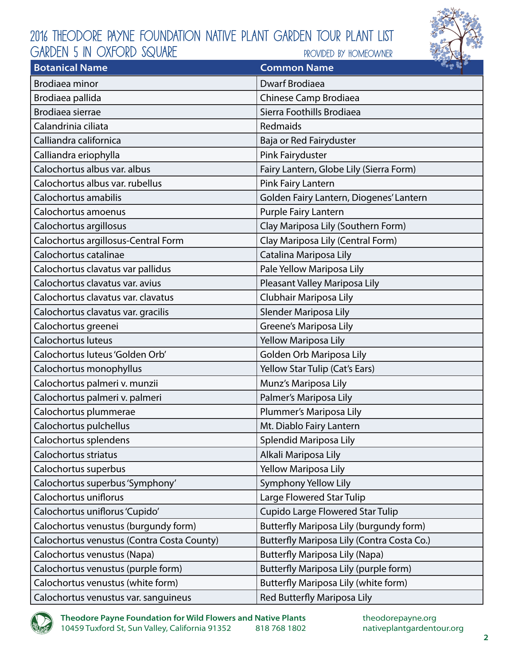

| <b>Botanical Name</b>                      | $\sim$ $\approx$ $\sim$<br><b>Common Name</b> |
|--------------------------------------------|-----------------------------------------------|
| <b>Brodiaea minor</b>                      | Dwarf Brodiaea                                |
| Brodiaea pallida                           | Chinese Camp Brodiaea                         |
| Brodiaea sierrae                           | Sierra Foothills Brodiaea                     |
| Calandrinia ciliata                        | Redmaids                                      |
| Calliandra californica                     | Baja or Red Fairyduster                       |
| Calliandra eriophylla                      | Pink Fairyduster                              |
| Calochortus albus var. albus               | Fairy Lantern, Globe Lily (Sierra Form)       |
| Calochortus albus var. rubellus            | Pink Fairy Lantern                            |
| Calochortus amabilis                       | Golden Fairy Lantern, Diogenes' Lantern       |
| Calochortus amoenus                        | Purple Fairy Lantern                          |
| Calochortus argillosus                     | Clay Mariposa Lily (Southern Form)            |
| Calochortus argillosus-Central Form        | Clay Mariposa Lily (Central Form)             |
| Calochortus catalinae                      | Catalina Mariposa Lily                        |
| Calochortus clavatus var pallidus          | Pale Yellow Mariposa Lily                     |
| Calochortus clavatus var. avius            | Pleasant Valley Mariposa Lily                 |
| Calochortus clavatus var. clavatus         | Clubhair Mariposa Lily                        |
| Calochortus clavatus var. gracilis         | Slender Mariposa Lily                         |
| Calochortus greenei                        | Greene's Mariposa Lily                        |
| Calochortus luteus                         | Yellow Mariposa Lily                          |
| Calochortus luteus 'Golden Orb'            | Golden Orb Mariposa Lily                      |
| Calochortus monophyllus                    | Yellow Star Tulip (Cat's Ears)                |
| Calochortus palmeri v. munzii              | Munz's Mariposa Lily                          |
| Calochortus palmeri v. palmeri             | Palmer's Mariposa Lily                        |
| Calochortus plummerae                      | Plummer's Mariposa Lily                       |
| Calochortus pulchellus                     | Mt. Diablo Fairy Lantern                      |
| Calochortus splendens                      | Splendid Mariposa Lily                        |
| Calochortus striatus                       | Alkali Mariposa Lily                          |
| Calochortus superbus                       | <b>Yellow Mariposa Lily</b>                   |
| Calochortus superbus 'Symphony'            | Symphony Yellow Lily                          |
| Calochortus uniflorus                      | Large Flowered Star Tulip                     |
| Calochortus uniflorus 'Cupido'             | <b>Cupido Large Flowered Star Tulip</b>       |
| Calochortus venustus (burgundy form)       | Butterfly Mariposa Lily (burgundy form)       |
| Calochortus venustus (Contra Costa County) | Butterfly Mariposa Lily (Contra Costa Co.)    |
| Calochortus venustus (Napa)                | <b>Butterfly Mariposa Lily (Napa)</b>         |
| Calochortus venustus (purple form)         | Butterfly Mariposa Lily (purple form)         |
| Calochortus venustus (white form)          | Butterfly Mariposa Lily (white form)          |
| Calochortus venustus var. sanguineus       | Red Butterfly Mariposa Lily                   |

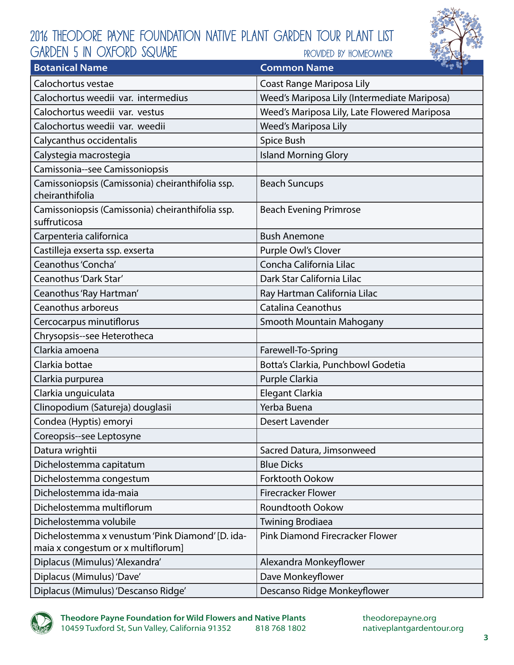

| <b>Botanical Name</b>                                               | $\sim$ $\approx$ $\sim$<br><b>Common Name</b> |
|---------------------------------------------------------------------|-----------------------------------------------|
| Calochortus vestae                                                  | Coast Range Mariposa Lily                     |
| Calochortus weedii var. intermedius                                 | Weed's Mariposa Lily (Intermediate Mariposa)  |
| Calochortus weedii var. vestus                                      | Weed's Mariposa Lily, Late Flowered Mariposa  |
| Calochortus weedii var. weedii                                      | Weed's Mariposa Lily                          |
| Calycanthus occidentalis                                            | Spice Bush                                    |
| Calystegia macrostegia                                              | <b>Island Morning Glory</b>                   |
| Camissonia--see Camissoniopsis                                      |                                               |
| Camissoniopsis (Camissonia) cheiranthifolia ssp.<br>cheiranthifolia | <b>Beach Suncups</b>                          |
| Camissoniopsis (Camissonia) cheiranthifolia ssp.<br>suffruticosa    | <b>Beach Evening Primrose</b>                 |
| Carpenteria californica                                             | <b>Bush Anemone</b>                           |
| Castilleja exserta ssp. exserta                                     | Purple Owl's Clover                           |
| Ceanothus 'Concha'                                                  | Concha California Lilac                       |
| Ceanothus 'Dark Star'                                               | Dark Star California Lilac                    |
| Ceanothus 'Ray Hartman'                                             | Ray Hartman California Lilac                  |
| Ceanothus arboreus                                                  | <b>Catalina Ceanothus</b>                     |
| Cercocarpus minutiflorus                                            | Smooth Mountain Mahogany                      |
| Chrysopsis--see Heterotheca                                         |                                               |
| Clarkia amoena                                                      | Farewell-To-Spring                            |
| Clarkia bottae                                                      | Botta's Clarkia, Punchbowl Godetia            |
| Clarkia purpurea                                                    | Purple Clarkia                                |
| Clarkia unguiculata                                                 | Elegant Clarkia                               |
| Clinopodium (Satureja) douglasii                                    | Yerba Buena                                   |
| Condea (Hyptis) emoryi                                              | Desert Lavender                               |
| Coreopsis--see Leptosyne                                            |                                               |
| Datura wrightii                                                     | Sacred Datura, Jimsonweed                     |
| Dichelostemma capitatum                                             | <b>Blue Dicks</b>                             |
| Dichelostemma congestum                                             | <b>Forktooth Ookow</b>                        |
| Dichelostemma ida-maia                                              | <b>Firecracker Flower</b>                     |
| Dichelostemma multiflorum                                           | <b>Roundtooth Ookow</b>                       |
| Dichelostemma volubile                                              | <b>Twining Brodiaea</b>                       |
| Dichelostemma x venustum 'Pink Diamond' [D. ida-                    | Pink Diamond Firecracker Flower               |
| maia x congestum or x multiflorum]                                  |                                               |
| Diplacus (Mimulus) 'Alexandra'                                      | Alexandra Monkeyflower                        |
| Diplacus (Mimulus) 'Dave'                                           | Dave Monkeyflower                             |
| Diplacus (Mimulus) 'Descanso Ridge'                                 | Descanso Ridge Monkeyflower                   |

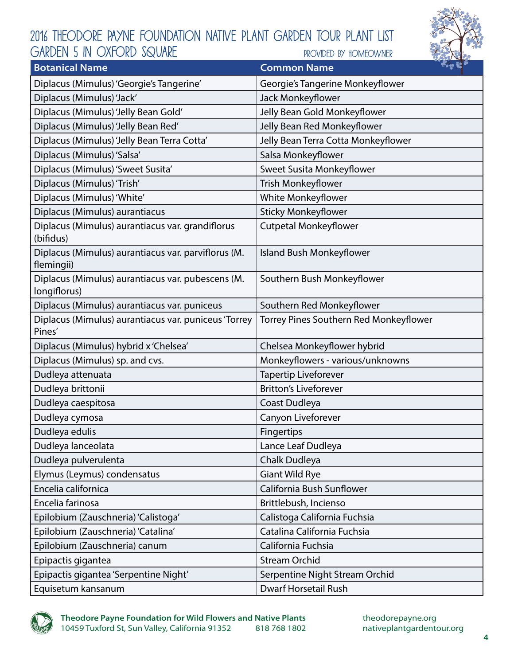

| <b>Botanical Name</b>                                             | <b>Boy S</b><br><b>Common Name</b>     |
|-------------------------------------------------------------------|----------------------------------------|
| Diplacus (Mimulus) 'Georgie's Tangerine'                          | Georgie's Tangerine Monkeyflower       |
| Diplacus (Mimulus) 'Jack'                                         | Jack Monkeyflower                      |
| Diplacus (Mimulus) 'Jelly Bean Gold'                              | Jelly Bean Gold Monkeyflower           |
| Diplacus (Mimulus) 'Jelly Bean Red'                               | Jelly Bean Red Monkeyflower            |
| Diplacus (Mimulus) 'Jelly Bean Terra Cotta'                       | Jelly Bean Terra Cotta Monkeyflower    |
| Diplacus (Mimulus) 'Salsa'                                        | Salsa Monkeyflower                     |
| Diplacus (Mimulus) 'Sweet Susita'                                 | Sweet Susita Monkeyflower              |
| Diplacus (Mimulus) 'Trish'                                        | Trish Monkeyflower                     |
| Diplacus (Mimulus) 'White'                                        | White Monkeyflower                     |
| Diplacus (Mimulus) aurantiacus                                    | <b>Sticky Monkeyflower</b>             |
| Diplacus (Mimulus) aurantiacus var. grandiflorus<br>(bifidus)     | Cutpetal Monkeyflower                  |
| Diplacus (Mimulus) aurantiacus var. parviflorus (M.<br>flemingii) | <b>Island Bush Monkeyflower</b>        |
| Diplacus (Mimulus) aurantiacus var. pubescens (M.<br>longiflorus) | Southern Bush Monkeyflower             |
| Diplacus (Mimulus) aurantiacus var. puniceus                      | Southern Red Monkeyflower              |
| Diplacus (Mimulus) aurantiacus var. puniceus 'Torrey<br>Pines'    | Torrey Pines Southern Red Monkeyflower |
| Diplacus (Mimulus) hybrid x 'Chelsea'                             | Chelsea Monkeyflower hybrid            |
| Diplacus (Mimulus) sp. and cvs.                                   | Monkeyflowers - various/unknowns       |
| Dudleya attenuata                                                 | <b>Tapertip Liveforever</b>            |
| Dudleya brittonii                                                 | <b>Britton's Liveforever</b>           |
| Dudleya caespitosa                                                | Coast Dudleya                          |
| Dudleya cymosa                                                    | Canyon Liveforever                     |
| Dudleya edulis                                                    | Fingertips                             |
| Dudleya lanceolata                                                | Lance Leaf Dudleya                     |
| Dudleya pulverulenta                                              | Chalk Dudleya                          |
| Elymus (Leymus) condensatus                                       | <b>Giant Wild Rye</b>                  |
| Encelia californica                                               | California Bush Sunflower              |
| Encelia farinosa                                                  | Brittlebush, Incienso                  |
| Epilobium (Zauschneria) 'Calistoga'                               | Calistoga California Fuchsia           |
| Epilobium (Zauschneria) 'Catalina'                                | Catalina California Fuchsia            |
| Epilobium (Zauschneria) canum                                     | California Fuchsia                     |
| Epipactis gigantea                                                | <b>Stream Orchid</b>                   |
| Epipactis gigantea 'Serpentine Night'                             | Serpentine Night Stream Orchid         |
| Equisetum kansanum                                                | <b>Dwarf Horsetail Rush</b>            |

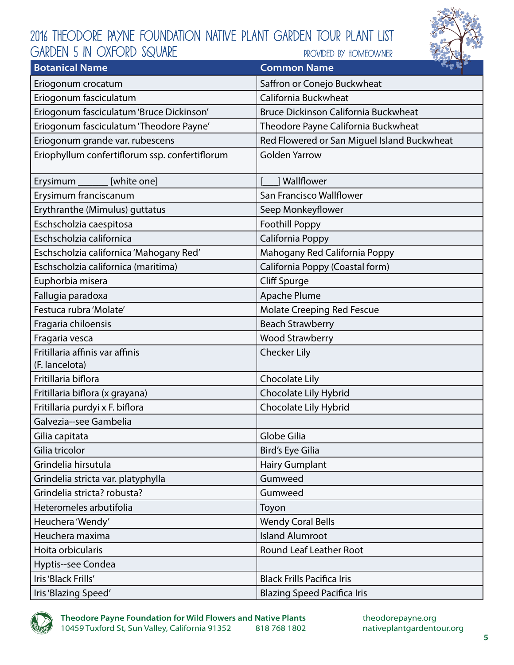

| <b>Botanical Name</b>                             | <b><i>Com</i></b> 33<br><b>Common Name</b>  |
|---------------------------------------------------|---------------------------------------------|
| Eriogonum crocatum                                | Saffron or Conejo Buckwheat                 |
| Eriogonum fasciculatum                            | California Buckwheat                        |
| Eriogonum fasciculatum 'Bruce Dickinson'          | <b>Bruce Dickinson California Buckwheat</b> |
| Eriogonum fasciculatum 'Theodore Payne'           | Theodore Payne California Buckwheat         |
| Eriogonum grande var. rubescens                   | Red Flowered or San Miguel Island Buckwheat |
| Eriophyllum confertiflorum ssp. confertiflorum    | <b>Golden Yarrow</b>                        |
| Erysimum ________ [white one]                     | 1 Wallflower                                |
| Erysimum franciscanum                             | San Francisco Wallflower                    |
| Erythranthe (Mimulus) guttatus                    | Seep Monkeyflower                           |
| Eschscholzia caespitosa                           | <b>Foothill Poppy</b>                       |
| Eschscholzia californica                          | California Poppy                            |
| Eschscholzia californica 'Mahogany Red'           | Mahogany Red California Poppy               |
| Eschscholzia californica (maritima)               | California Poppy (Coastal form)             |
| Euphorbia misera                                  | <b>Cliff Spurge</b>                         |
| Fallugia paradoxa                                 | Apache Plume                                |
| Festuca rubra 'Molate'                            | Molate Creeping Red Fescue                  |
| Fragaria chiloensis                               | <b>Beach Strawberry</b>                     |
| Fragaria vesca                                    | <b>Wood Strawberry</b>                      |
| Fritillaria affinis var affinis<br>(F. lancelota) | <b>Checker Lily</b>                         |
| Fritillaria biflora                               | Chocolate Lily                              |
| Fritillaria biflora (x grayana)                   | Chocolate Lily Hybrid                       |
| Fritillaria purdyi x F. biflora                   | Chocolate Lily Hybrid                       |
| Galvezia--see Gambelia                            |                                             |
| Gilia capitata                                    | Globe Gilia                                 |
| Gilia tricolor                                    | Bird's Eye Gilia                            |
| Grindelia hirsutula                               | <b>Hairy Gumplant</b>                       |
| Grindelia stricta var. platyphylla                | Gumweed                                     |
| Grindelia stricta? robusta?                       | Gumweed                                     |
| Heteromeles arbutifolia                           | Toyon                                       |
| Heuchera 'Wendy'                                  | <b>Wendy Coral Bells</b>                    |
| Heuchera maxima                                   | <b>Island Alumroot</b>                      |
| Hoita orbicularis                                 | <b>Round Leaf Leather Root</b>              |
| Hyptis--see Condea                                |                                             |
| Iris 'Black Frills'                               | <b>Black Frills Pacifica Iris</b>           |
| Iris 'Blazing Speed'                              | <b>Blazing Speed Pacifica Iris</b>          |

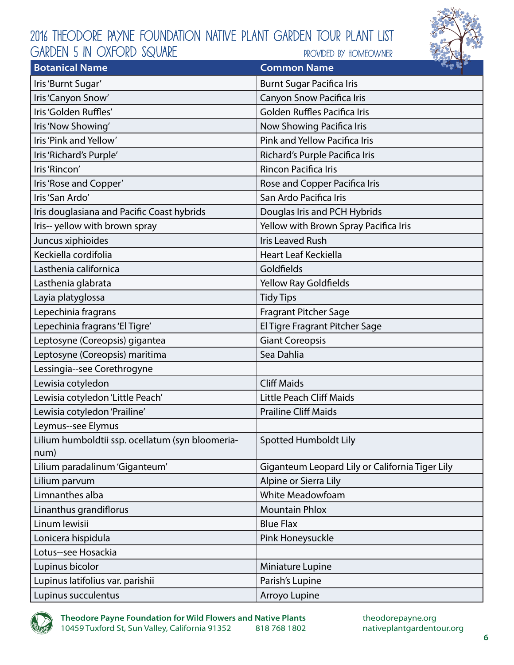

| <b>Botanical Name</b>                            | $\sim$ $\approx$ $\sim$<br><b>Common Name</b>   |
|--------------------------------------------------|-------------------------------------------------|
| Iris'Burnt Sugar'                                | <b>Burnt Sugar Pacifica Iris</b>                |
| Iris 'Canyon Snow'                               | Canyon Snow Pacifica Iris                       |
| Iris 'Golden Ruffles'                            | <b>Golden Ruffles Pacifica Iris</b>             |
| Iris 'Now Showing'                               | Now Showing Pacifica Iris                       |
| Iris 'Pink and Yellow'                           | Pink and Yellow Pacifica Iris                   |
| Iris 'Richard's Purple'                          | Richard's Purple Pacifica Iris                  |
| Iris 'Rincon'                                    | Rincon Pacifica Iris                            |
| Iris 'Rose and Copper'                           | Rose and Copper Pacifica Iris                   |
| Iris'San Ardo'                                   | San Ardo Pacifica Iris                          |
| Iris douglasiana and Pacific Coast hybrids       | Douglas Iris and PCH Hybrids                    |
| Iris-- yellow with brown spray                   | Yellow with Brown Spray Pacifica Iris           |
| Juncus xiphioides                                | <b>Iris Leaved Rush</b>                         |
| Keckiella cordifolia                             | <b>Heart Leaf Keckiella</b>                     |
| Lasthenia californica                            | Goldfields                                      |
| Lasthenia glabrata                               | <b>Yellow Ray Goldfields</b>                    |
| Layia platyglossa                                | <b>Tidy Tips</b>                                |
| Lepechinia fragrans                              | <b>Fragrant Pitcher Sage</b>                    |
| Lepechinia fragrans 'El Tigre'                   | El Tigre Fragrant Pitcher Sage                  |
| Leptosyne (Coreopsis) gigantea                   | <b>Giant Coreopsis</b>                          |
| Leptosyne (Coreopsis) maritima                   | Sea Dahlia                                      |
| Lessingia--see Corethrogyne                      |                                                 |
| Lewisia cotyledon                                | <b>Cliff Maids</b>                              |
| Lewisia cotyledon 'Little Peach'                 | <b>Little Peach Cliff Maids</b>                 |
| Lewisia cotyledon 'Prailine'                     | <b>Prailine Cliff Maids</b>                     |
| Leymus--see Elymus                               |                                                 |
| Lilium humboldtii ssp. ocellatum (syn bloomeria- | <b>Spotted Humboldt Lily</b>                    |
| num)                                             |                                                 |
| Lilium paradalinum 'Giganteum'                   | Giganteum Leopard Lily or California Tiger Lily |
| Lilium parvum                                    | Alpine or Sierra Lily                           |
| Limnanthes alba                                  | <b>White Meadowfoam</b>                         |
| Linanthus grandiflorus                           | <b>Mountain Phlox</b>                           |
| Linum lewisii                                    | <b>Blue Flax</b>                                |
| Lonicera hispidula                               | Pink Honeysuckle                                |
| Lotus--see Hosackia                              |                                                 |
| Lupinus bicolor                                  | Miniature Lupine                                |
| Lupinus latifolius var. parishii                 | Parish's Lupine                                 |
| Lupinus succulentus                              | Arroyo Lupine                                   |

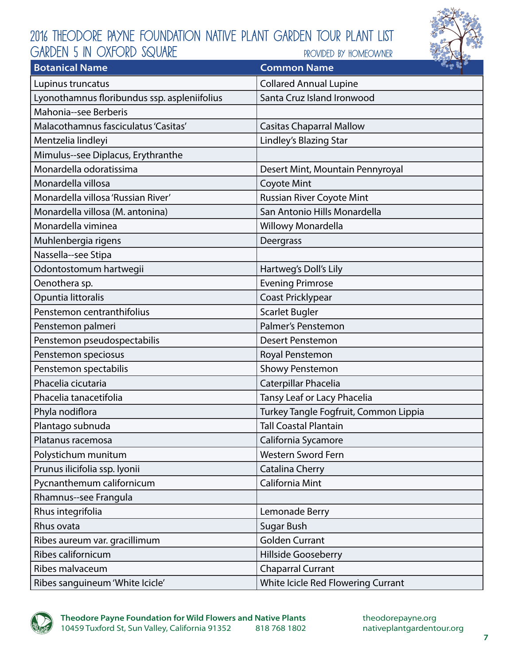

| <b>Botanical Name</b>                        | <b>Boy &amp; B</b><br><b>Common Name</b> |
|----------------------------------------------|------------------------------------------|
| Lupinus truncatus                            | <b>Collared Annual Lupine</b>            |
| Lyonothamnus floribundus ssp. aspleniifolius | Santa Cruz Island Ironwood               |
| Mahonia--see Berberis                        |                                          |
| Malacothamnus fasciculatus 'Casitas'         | <b>Casitas Chaparral Mallow</b>          |
| Mentzelia lindleyi                           | Lindley's Blazing Star                   |
| Mimulus--see Diplacus, Erythranthe           |                                          |
| Monardella odoratissima                      | Desert Mint, Mountain Pennyroyal         |
| Monardella villosa                           | <b>Coyote Mint</b>                       |
| Monardella villosa 'Russian River'           | <b>Russian River Coyote Mint</b>         |
| Monardella villosa (M. antonina)             | San Antonio Hills Monardella             |
| Monardella viminea                           | <b>Willowy Monardella</b>                |
| Muhlenbergia rigens                          | Deergrass                                |
| Nassella--see Stipa                          |                                          |
| Odontostomum hartwegii                       | Hartweg's Doll's Lily                    |
| Oenothera sp.                                | <b>Evening Primrose</b>                  |
| Opuntia littoralis                           | Coast Pricklypear                        |
| Penstemon centranthifolius                   | <b>Scarlet Bugler</b>                    |
| Penstemon palmeri                            | Palmer's Penstemon                       |
| Penstemon pseudospectabilis                  | <b>Desert Penstemon</b>                  |
| Penstemon speciosus                          | Royal Penstemon                          |
| Penstemon spectabilis                        | <b>Showy Penstemon</b>                   |
| Phacelia cicutaria                           | Caterpillar Phacelia                     |
| Phacelia tanacetifolia                       | Tansy Leaf or Lacy Phacelia              |
| Phyla nodiflora                              | Turkey Tangle Fogfruit, Common Lippia    |
| Plantago subnuda                             | <b>Tall Coastal Plantain</b>             |
| Platanus racemosa                            | California Sycamore                      |
| Polystichum munitum                          | Western Sword Fern                       |
| Prunus ilicifolia ssp. lyonii                | Catalina Cherry                          |
| Pycnanthemum californicum                    | California Mint                          |
| Rhamnus--see Frangula                        |                                          |
| Rhus integrifolia                            | Lemonade Berry                           |
| Rhus ovata                                   | <b>Sugar Bush</b>                        |
| Ribes aureum var. gracillimum                | <b>Golden Currant</b>                    |
| Ribes californicum                           | Hillside Gooseberry                      |
| Ribes malvaceum                              | <b>Chaparral Currant</b>                 |
| Ribes sanguineum 'White Icicle'              | White Icicle Red Flowering Currant       |

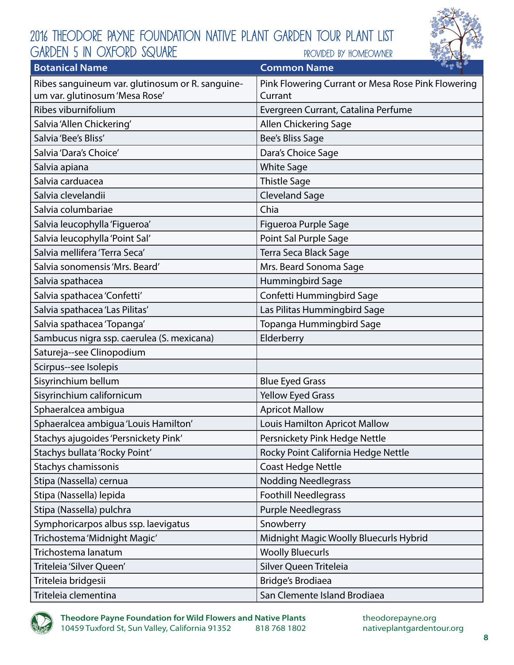

| <b>Botanical Name</b>                            | $\sim$ $\sim$ $\sim$<br><b>Common Name</b>         |
|--------------------------------------------------|----------------------------------------------------|
| Ribes sanguineum var. glutinosum or R. sanguine- | Pink Flowering Currant or Mesa Rose Pink Flowering |
| um var. glutinosum 'Mesa Rose'                   | Currant                                            |
| Ribes viburnifolium                              | Evergreen Currant, Catalina Perfume                |
| Salvia 'Allen Chickering'                        | Allen Chickering Sage                              |
| Salvia 'Bee's Bliss'                             | Bee's Bliss Sage                                   |
| Salvia 'Dara's Choice'                           | Dara's Choice Sage                                 |
| Salvia apiana                                    | <b>White Sage</b>                                  |
| Salvia carduacea                                 | <b>Thistle Sage</b>                                |
| Salvia clevelandii                               | <b>Cleveland Sage</b>                              |
| Salvia columbariae                               | Chia                                               |
| Salvia leucophylla 'Figueroa'                    | Figueroa Purple Sage                               |
| Salvia leucophylla 'Point Sal'                   | Point Sal Purple Sage                              |
| Salvia mellifera 'Terra Seca'                    | Terra Seca Black Sage                              |
| Salvia sonomensis 'Mrs. Beard'                   | Mrs. Beard Sonoma Sage                             |
| Salvia spathacea                                 | Hummingbird Sage                                   |
| Salvia spathacea 'Confetti'                      | Confetti Hummingbird Sage                          |
| Salvia spathacea 'Las Pilitas'                   | Las Pilitas Hummingbird Sage                       |
| Salvia spathacea 'Topanga'                       | Topanga Hummingbird Sage                           |
| Sambucus nigra ssp. caerulea (S. mexicana)       | Elderberry                                         |
| Satureja--see Clinopodium                        |                                                    |
| Scirpus--see Isolepis                            |                                                    |
| Sisyrinchium bellum                              | <b>Blue Eyed Grass</b>                             |
| Sisyrinchium californicum                        | <b>Yellow Eyed Grass</b>                           |
| Sphaeralcea ambigua                              | <b>Apricot Mallow</b>                              |
| Sphaeralcea ambigua 'Louis Hamilton'             | Louis Hamilton Apricot Mallow                      |
| Stachys ajugoides 'Persnickety Pink'             | Persnickety Pink Hedge Nettle                      |
| Stachys bullata 'Rocky Point'                    | Rocky Point California Hedge Nettle                |
| Stachys chamissonis                              | <b>Coast Hedge Nettle</b>                          |
| Stipa (Nassella) cernua                          | <b>Nodding Needlegrass</b>                         |
| Stipa (Nassella) lepida                          | <b>Foothill Needlegrass</b>                        |
| Stipa (Nassella) pulchra                         | <b>Purple Needlegrass</b>                          |
| Symphoricarpos albus ssp. laevigatus             | Snowberry                                          |
| Trichostema 'Midnight Magic'                     | Midnight Magic Woolly Bluecurls Hybrid             |
| Trichostema lanatum                              | <b>Woolly Bluecurls</b>                            |
| Triteleia 'Silver Queen'                         | Silver Queen Triteleia                             |
| Triteleia bridgesii                              | Bridge's Brodiaea                                  |
| Triteleia clementina                             | San Clemente Island Brodiaea                       |